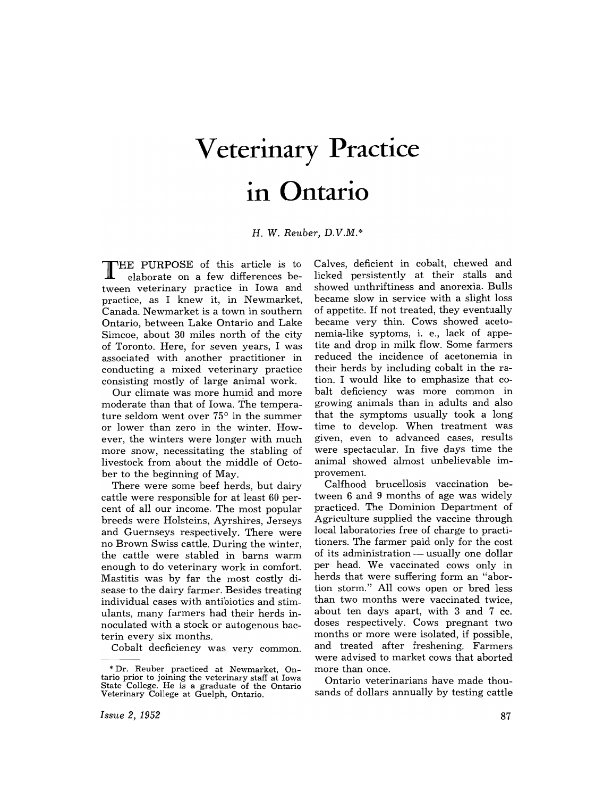## **Veterinary Practice**  • **in Ontario**

H. W. *Reuber, D.V.M.\** 

THE PURPOSE of this article is to elaborate on a few differences between veterinary practice in Iowa and practice, as I knew it, in Newmarket, Canada. Newmarket is a town in southern Ontario, between Lake Ontario and Lake Simcoe, about 30 miles north of the city of Toronto. Here, for seven years, I was associated with another practitioner in conducting a mixed veterinary practice consisting mostly of large animal work.

Our climate was more humid and more moderate than that of Iowa. The temperature seldom went over 75° in the summer or lower than zero in the winter. However, the winters were longer with much more snow, necessitating the stabling of livestock from about the middle of October to the beginning of May.

There were some beef herds, but dairy cattle were responsible for at least 60 percent of all our income. The most popular breeds were Holsteins, Ayrshires, Jerseys and Guernseys respectively. There were no Brown Swiss cattle. During the winter, the cattle were stabled in barns warm enough to do veterinary work in comfort. Mastitis was by far the most costly disease·to the dairy farmer. Besides treating individual cases with antibiotics and stimulants, many farmers had their herds innoculated with a stock or autogenous bacterin every six months.

Cobalt decficiency was very common.

Calves, deficient in cobalt, chewed and licked persistently at their stalls and showed unthriftiness and anorexia. Bulls became slow in service with a slight loss of appetite. If not treated, they eventually became very thin. Cows showed acetonemia-like syptoms, i. e., lack of appetite and drop in milk flow. Some farmers reduced the incidence of acetonemia in their herds by including cobalt in the ration. I would like to emphasize that cobalt deficiency was more common in growing animals than in adults and also that the symptoms usually took a long time to develop. When treatment was given, even to advanced cases, results were spectacular. In five days time the animal showed almost unbelievable improvement.

Calfhood brucellosis vaccination between 6 and 9 months of age was widely practiced. The Dominion Department of Agriculture supplied the vaccine through local laboratories free of charge to practitioners. The farmer paid only for the cost of its administration  $-$  usually one dollar per head. We vaccinated cows only in herds that were suffering form an "abortion storm." All cows open or bred less than two months were vaccinated twice, about ten days apart, with 3 and 7 cc. doses respectively. Cows pregnant two months or more were isolated, if possible, and treated after freshening. Farmers were advised to market cows that aborted more than once.

Ontario veterinarians have made thousands of dollars annually by testing cattle

<sup>\*</sup> Dr. Reuber practiced at Newmarket, Ontario prior to joining the veterinary staff at Iowa State College. He is a graduate of the Ontario Veterinary College at Guelph, Ontario.